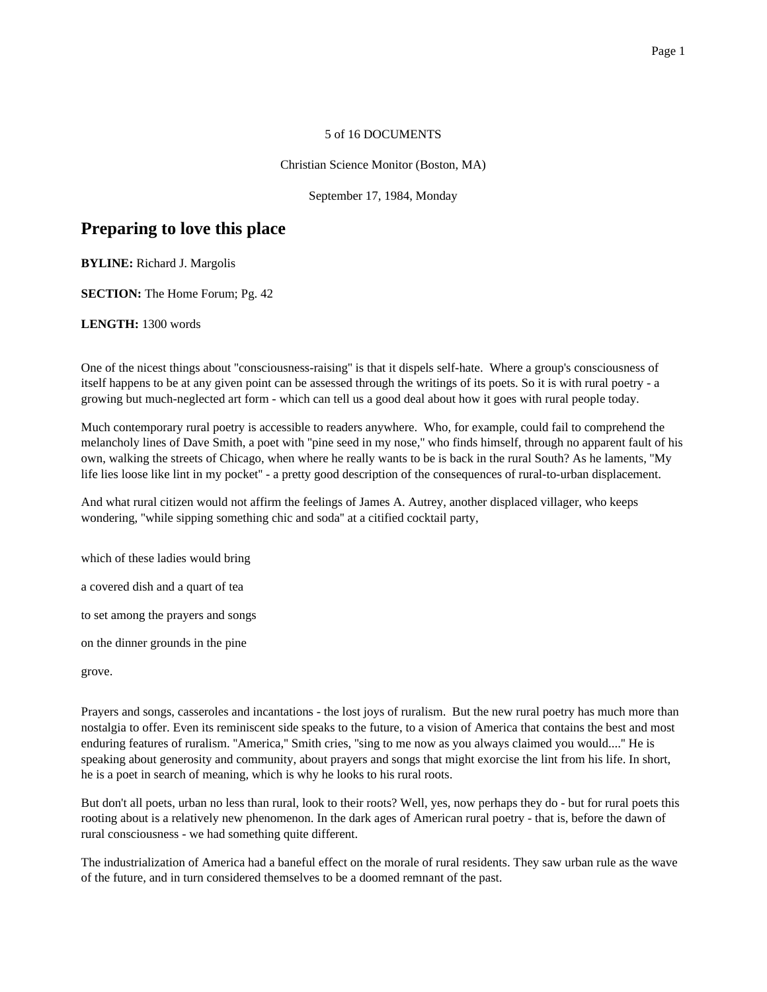### 5 of 16 DOCUMENTS

#### Christian Science Monitor (Boston, MA)

September 17, 1984, Monday

# **Preparing to love this place**

**BYLINE:** Richard J. Margolis

**SECTION:** The Home Forum; Pg. 42

**LENGTH:** 1300 words

One of the nicest things about ''consciousness-raising'' is that it dispels self-hate. Where a group's consciousness of itself happens to be at any given point can be assessed through the writings of its poets. So it is with rural poetry - a growing but much-neglected art form - which can tell us a good deal about how it goes with rural people today.

Much contemporary rural poetry is accessible to readers anywhere. Who, for example, could fail to comprehend the melancholy lines of Dave Smith, a poet with ''pine seed in my nose,'' who finds himself, through no apparent fault of his own, walking the streets of Chicago, when where he really wants to be is back in the rural South? As he laments, ''My life lies loose like lint in my pocket'' - a pretty good description of the consequences of rural-to-urban displacement.

And what rural citizen would not affirm the feelings of James A. Autrey, another displaced villager, who keeps wondering, ''while sipping something chic and soda'' at a citified cocktail party,

which of these ladies would bring

a covered dish and a quart of tea

to set among the prayers and songs

on the dinner grounds in the pine

grove.

Prayers and songs, casseroles and incantations - the lost joys of ruralism. But the new rural poetry has much more than nostalgia to offer. Even its reminiscent side speaks to the future, to a vision of America that contains the best and most enduring features of ruralism. ''America,'' Smith cries, ''sing to me now as you always claimed you would....'' He is speaking about generosity and community, about prayers and songs that might exorcise the lint from his life. In short, he is a poet in search of meaning, which is why he looks to his rural roots.

But don't all poets, urban no less than rural, look to their roots? Well, yes, now perhaps they do - but for rural poets this rooting about is a relatively new phenomenon. In the dark ages of American rural poetry - that is, before the dawn of rural consciousness - we had something quite different.

The industrialization of America had a baneful effect on the morale of rural residents. They saw urban rule as the wave of the future, and in turn considered themselves to be a doomed remnant of the past.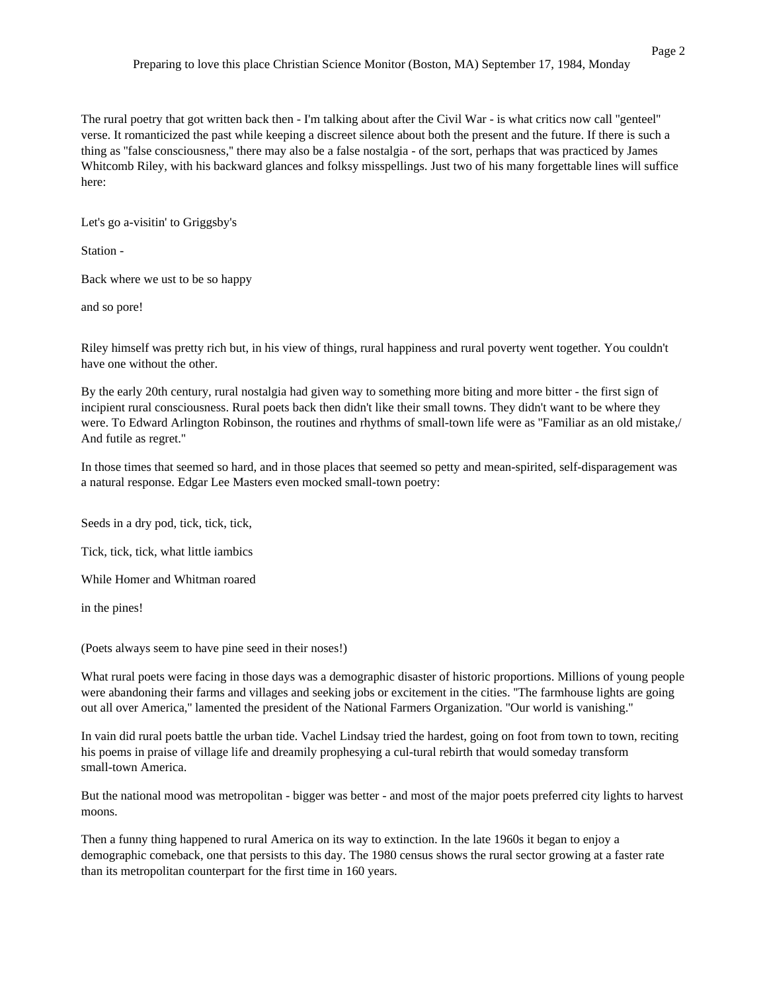The rural poetry that got written back then - I'm talking about after the Civil War - is what critics now call ''genteel'' verse. It romanticized the past while keeping a discreet silence about both the present and the future. If there is such a thing as ''false consciousness,'' there may also be a false nostalgia - of the sort, perhaps that was practiced by James Whitcomb Riley, with his backward glances and folksy misspellings. Just two of his many forgettable lines will suffice here:

Let's go a-visitin' to Griggsby's

Station -

Back where we ust to be so happy

and so pore!

Riley himself was pretty rich but, in his view of things, rural happiness and rural poverty went together. You couldn't have one without the other.

By the early 20th century, rural nostalgia had given way to something more biting and more bitter - the first sign of incipient rural consciousness. Rural poets back then didn't like their small towns. They didn't want to be where they were. To Edward Arlington Robinson, the routines and rhythms of small-town life were as "Familiar as an old mistake, And futile as regret.''

In those times that seemed so hard, and in those places that seemed so petty and mean-spirited, self-disparagement was a natural response. Edgar Lee Masters even mocked small-town poetry:

Seeds in a dry pod, tick, tick, tick,

Tick, tick, tick, what little iambics

While Homer and Whitman roared

in the pines!

(Poets always seem to have pine seed in their noses!)

What rural poets were facing in those days was a demographic disaster of historic proportions. Millions of young people were abandoning their farms and villages and seeking jobs or excitement in the cities. ''The farmhouse lights are going out all over America,'' lamented the president of the National Farmers Organization. ''Our world is vanishing.''

In vain did rural poets battle the urban tide. Vachel Lindsay tried the hardest, going on foot from town to town, reciting his poems in praise of village life and dreamily prophesying a cul-tural rebirth that would someday transform small-town America.

But the national mood was metropolitan - bigger was better - and most of the major poets preferred city lights to harvest moons.

Then a funny thing happened to rural America on its way to extinction. In the late 1960s it began to enjoy a demographic comeback, one that persists to this day. The 1980 census shows the rural sector growing at a faster rate than its metropolitan counterpart for the first time in 160 years.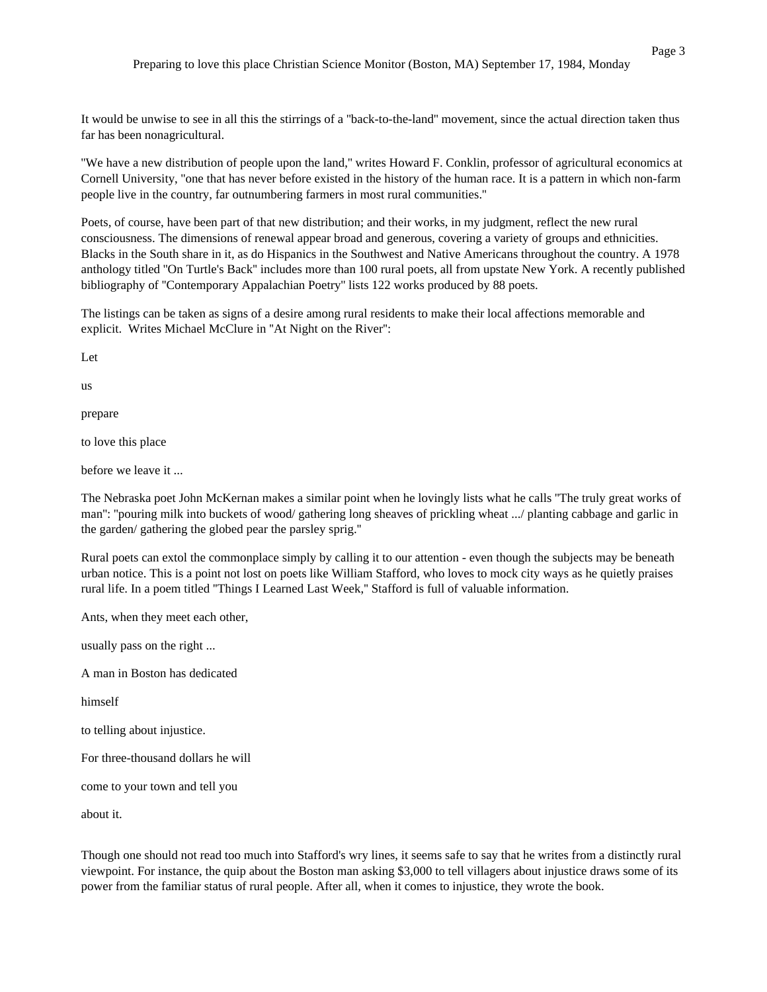It would be unwise to see in all this the stirrings of a ''back-to-the-land'' movement, since the actual direction taken thus far has been nonagricultural.

''We have a new distribution of people upon the land,'' writes Howard F. Conklin, professor of agricultural economics at Cornell University, ''one that has never before existed in the history of the human race. It is a pattern in which non-farm people live in the country, far outnumbering farmers in most rural communities.''

Poets, of course, have been part of that new distribution; and their works, in my judgment, reflect the new rural consciousness. The dimensions of renewal appear broad and generous, covering a variety of groups and ethnicities. Blacks in the South share in it, as do Hispanics in the Southwest and Native Americans throughout the country. A 1978 anthology titled ''On Turtle's Back'' includes more than 100 rural poets, all from upstate New York. A recently published bibliography of ''Contemporary Appalachian Poetry'' lists 122 works produced by 88 poets.

The listings can be taken as signs of a desire among rural residents to make their local affections memorable and explicit. Writes Michael McClure in ''At Night on the River'':

Let

us

prepare

to love this place

before we leave it ...

The Nebraska poet John McKernan makes a similar point when he lovingly lists what he calls ''The truly great works of man'': ''pouring milk into buckets of wood/ gathering long sheaves of prickling wheat .../ planting cabbage and garlic in the garden/ gathering the globed pear the parsley sprig.''

Rural poets can extol the commonplace simply by calling it to our attention - even though the subjects may be beneath urban notice. This is a point not lost on poets like William Stafford, who loves to mock city ways as he quietly praises rural life. In a poem titled ''Things I Learned Last Week,'' Stafford is full of valuable information.

Ants, when they meet each other,

usually pass on the right ...

A man in Boston has dedicated

himself

to telling about injustice.

For three-thousand dollars he will

come to your town and tell you

about it.

Though one should not read too much into Stafford's wry lines, it seems safe to say that he writes from a distinctly rural viewpoint. For instance, the quip about the Boston man asking \$3,000 to tell villagers about injustice draws some of its power from the familiar status of rural people. After all, when it comes to injustice, they wrote the book.